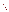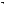### **AGENCY: ENVIRONMENTAL PROTECTION AGENCY (EPA)**

**TITLE: SmartWay Clean Diesel Finance Program** 

**ACTION: Request for Proposals (RFP)** 

**RFP NUMBER: OAR-OTAQ-08-04** 

# **CATALOG OF FEDERAL DOMESTIC ASSISTANCE NUMBER: 66.039**

**DATES:** The closing date and time for receipt of proposals is **June 9, 2008, 4:00 p.m., EST**. All hard copies of proposal packages must be received by the EPA contact identified in Section IV by **June 9, 2008, 4:00 p.m., EST** in order to be considered for funding. Electronic submissions must be submitted via www.Grants.gov by **June 9, 2008, 11:59 p.m., EST in order to be considered for funding**. Proposals received after the closing date and time will not be considered for funding. Final applications, including any additional information which is required by statute from the applicant, will be requested from those eligible entities whose proposal has been successfully evaluated and preliminarily recommended for award. In addition, EPA will host a Question and Answer session via teleconference on May 12, 2008 from 1-3 p.m., EST. If you would like to participant on this conference call, please contact Gwen Couts at Couts. Gwen@epa.gov or (202) 343-9347.

**SUMMARY:** This notice announces the availability of funds and solicits proposals for diesel emission reduction projects through national or multi-EPA regional innovative financing program(s).

**FUNDING/AWARDS:** The total estimated funding available under this competitive opportunity is approximately \$3 million. EPA anticipates awarding approximately 1-4 cooperative agreement(s) from this announcement, subject to availability of funds and the quality of proposals received.

# **CONTENTS BY SECTION**

- I. Funding Opportunity Description
- II. Award Information
- III. Eligibility Information
- IV. Proposal and Submission Information
- V. Proposal Review Information
- VI. Award Administration Information
- VII. Agency Contacts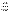### **I. FUNDING OPPORTUNITY DESCRIPTION**

### **A. Background**

The U.S. Environmental Protection Agency's (EPA)'s National Clean Diesel Campaign is announcing the opportunity to compete for funding assistance under the Energy Policy Act of 2005, Public Law 109-58, signed August 8, 2005 (EPAct2005). The Diesel Emissions Reduction National Program authorized by Title VII, Subtitle G (Sections 791 to 797) of the EPAct2005 allows EPA to offer cooperative agreements to eligible entities on a competitive basis to establish innovative financial programs, such as low cost loans, to fund diesel emissions reductions throughout the United States. Through separate solicitations, EPA Regional Offices may also offer cooperative agreements to eligible entities to establish innovative financial programs for eligible engine and equipment owners that reside within the EPA Region's States, Territories, and Tribal Lands. This announcement, however, is soliciting proposals from eligible entities for cooperative agreements to establish national or multi-EPA Regional innovative financial programs for eligible engine and equipment owners that reside anywhere in the United States. Note, there is no requirement in the EPA Regional cooperative agreement solicitations that the vehicles or equipment must operate exclusively within a State or Region.

EPA Headquarters will issue awards for eligible entities that propose innovative financing projects for vehicles or equipment that will be in the form of cooperative agreements, which must be used to achieve significant reductions in diesel emissions in terms of--(1) tons of pollution produced; and (2) diesel emissions exposure, particularly from fleets operating in areas designated by the Administrator as poor air quality areas.

Diesel emissions account for 6.3 million tons of oxides of nitrogen (NOx) and 305,000 tons of particulate matter (PM) in the national mobile emissions inventory (2004). The emissions are from a variety of onroad and nonroad vehicles, such as those used for freight, ports, transit, construction and agriculture.

Reducing emissions from diesel engines is one of the most important air quality challenges facing the country. Even with more stringent heavy-duty highway and nonroad engine standards set to take effect over the next decade, millions of diesel engines already in use will continue to emit large amounts of nitrogen oxides, particulate matter and air toxics, which contribute to serious public health problems such as premature deaths, asthma attacks, lost work days, and numerous other negative health impacts every year.

This RFP solicits proposals on a competitive basis for cooperative agreements to establish national or multi-EPA Regional innovative financial programs that will reduce diesel emissions on eligible vehicles and engines through a variety of diesel emissions reduction strategies and solutions including but not limited to the following: add-on verified emission control retrofit technologies or verified idle reduction technologies.

### **B. Scope of Work**

To apply under this RFP, applicants must submit proposals to establish a national or multi-EPA regional innovative financing program that results in diesel emissions reduction activities such as those described in the "*Diesel Emissions Reduction Proposal Areas"* below in B(2). In order to support the national focus of this solicitation, the cooperative agreement recipient must establish an innovative finance program for eligible vehicle and equipment owners that reside anywhere in the United States or are located in multiple EPA Regions. Proposed innovative financing may include, but is not limited to, the following: issuance of loan guarantees, equity investments that leverage additional funds, revolving loan funds, or issuance of tax exempt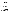or taxable bonds for low cost loan programs.

Note, any costs associated with the implementation of the innovative finance program, including administrative costs and expenses to establish the innovative finance program, are capped at 5% of the cooperative agreement award, unless otherwise noted below in "Examples of Finance Programs."

For the financing to be considered "innovative", the cooperative agreement recipient can meet this condition in one of several ways. First, the repayment term can be lengthened and/or the interest rate on a loan can be set at a rate lower than what the loan applicant would typically receive, thereby resulting in lower payments for the retrofitted engine or equipment. Second, the approval rate for the loan can be more flexible than typical for the applicant, thereby approving a loan that would not otherwise be approved for the retrofitted engine or equipment. Innovative projects include those where the loan recipient receives a unique financial incentive (i.e., greater than regular market rates or conditions) for the purchase of retrofitted vehicles or equipment.

In the first scenario, if the cooperative agreement recipient (or lender partner) uses a FICO (Fair Isaac Corporation) credit score as a means to set the interest rate, then the cooperative agreement recipient (or lender partner) would determine the interest rate and then offer a rate lower for this loan applicant. The interest rate should be set at an amount that provides sufficient incentive to select the loan for the retrofitted engine or equipment with an EPA or California Air Resources Board (CARB) verified emission control technology. For example, a sufficient incentive can be an interest rate that results in a monthly payment of \$100-\$200 less for the retrofitted engine or equipment than the non-retrofitted engine or equipment. The objective in this example is to offer a financial incentive to purchase a vehicle or piece of equipment that, as a result of a retrofit, emits less harmful emissions.

In the second scenario, the cooperative agreement recipient (or lender partner) would approve a loan that they would not normally approve because the cooperative agreement allows greater flexibility. For example, if a loan applicant seeks a loan for a \$50,000 retrofitted vehicle with an EPA or CARB verified emission control technology but would not normally receive a loan based on this purchase price and the applicant's credit, the cooperative agreement recipient (or partner lender) would approve this loan because the cooperative agreement award allows them to assume greater risk. The objective in this example is to increase the probability of approving a loan for a retrofitted engine or piece of equipment where under circumstances without the cooperative agreement award the loan applicant would be denied the loan.

#### **1. Examples of Finance Programs:**

*(a) Loan Guarantee*: The innovative finance program may be used as a loan guarantee whereby the funds are used to guarantee repayment of the loans made by a lending institution. Essentially, the cooperative agreement recipient would deposit funds into an escrow account to guarantee all or part of a loan for a retrofitted engine or equipment. Disbursement would not be requested until a guaranteed loan has been made by a participating financial institution. In the usual case, the funds would remain in escrow and be returned to the cooperative agreement recipient when all borrowers repaid the guaranteed loans. If there is a default, the cooperative agreement recipient would use the funds in the escrow account to make the lender whole for its losses. The losses may include the principal loaned out plus interest payments that had accrued at the time of the default (minus any payments made on the loan). The participating financial institutions should use industry standard recovery strategies, as a means to adjust the amount that would make them whole, before requesting payment from the cooperative agreement recipient (i.e., the recovered value of the retrofitted engine or equipment at accepted industry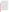rates). In these types of loans, neither the borrowers nor the participating financial institutions should be given the impression that the loans are guaranteed by the Federal Government. The loan is guaranteed by the cooperative agreement recipient (or lender partner). The escrow account must be properly structured in accordance with the standards of 64 Comp. Gen. 96, 98 (1984) to ensure that cooperative agreement funds transferred to the recipient are disbursements of assistance funds.

*(b) Bonds*: The finance program may be used to underwrite the cost of issuing a bond which is then used to create innovative loans to support EPAct2005 eligible activities. The expense cap of 5% does not apply to bonds. In the case of bonds, the entire cooperative agreement award can be used for eligible bond expenses as described below. A bond is a certificate, evidence of a debt, or written promise on which the issuing entity promises to pay the bondholders a specified amount of interest for a specified length of time, and to repay the loan on the expiration date. For EPAct2005 purposes, the capital raised by issuing a bond would be used to create an innovative finance program that lends funds at low interest rates for the purchase of a retrofitted engine or piece of equipment. There are a number of different types of bonds that may be appropriate for this program including both taxable and tax-exempt bonds.

Eligible bond expenses include, but are not limited to, bond issuance fees, bond counsel and bank attorney fees, underwriter fees, trustee fees, and bond insurance. Applicants are strongly encouraged to speak with the appropriate financial experts, or partner with a State or local agency that has experience in issuing bonds, such as an Economic Development Agency. The cooperative agreement recipient must demonstrate their authority to issue bonds and must use the bond funds to create a loan program that meets EPAct2005's statutory requirements. For more information on the use of bonds to support environmental objectives, please see: [http://www.epa.gov/efinpage/guidebook.htm.](http://www.epa.gov/efinpage/guidebook.htm) EPA's Environmental Finance Advisory Board has also issued a recent report on innovative financing for reducing diesel emissions: <http://www.epa.gov/efinpage/efab/LetterSJ110107.pdf>.

*(c) Equity Investment*: An equity investment is the use of cooperative agreement funds to leverage additional funds from a lending institution. For example, the cooperative agreement recipient may take the cooperative agreement funds and borrow funds from another lending institution at a lower interest rate based on the cooperative agreement funds available to the recipient. The lower interest rate comes from the blending of cooperative agreement funds and borrowed funds at lower market rates. This investment may lower the cooperative agreement recipient's overall cost of capital and enable it to finance retrofitted engines and equipment at a cost lower than if the cooperative agreement recipient had not received the cooperative agreement award.

*(d) Revolving Loan Fund (RLF):* An RLF provides funding for a cooperative agreement recipient to capitalize a revolving loan fund for EPAct2005 purposes. An RLF cooperative agreement recipient must use at least 85 percent of the awarded funds to capitalize and implement an RLF, while the remaining 15 percent can be used for implementation expenses, such as administrative costs. RLFs generally are used to provide no-interest or low-interest loans which must be used for EPAct2005 eligible purposes. The difference between an RLF and an equity investment is that the RLF uses the cooperative agreement funds as the sole source of capital for the loan program, whereas an equity investment combines the cooperative agreement funds and leveraged funds for the loan program.

### **2. Diesel Emissions Reduction Proposal Areas**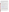The Diesel Emissions Reduction Program addresses pollution from diesel vehicles and equipment that are currently used for either onroad or nonroad<sup>[1](#page-5-0)</sup> applications. Eligible vehicles, engines and equipment may include, but are not limited to: buses; medium-duty or heavy-duty trucks; marine engines; locomotives; and nonroad engines or vehicles used in: i) construction; ii) handling or cargo (including at a port or airport); iii) agriculture; iv) mining; or v) energy production<sup>2</sup>. Projects may include, but are not limited to, a variety of diesel emissions reductions solutions as described more fully below such as: add-on emission control retrofit technologies or idle reduction technologies. Equipment that is used for testing emissions and/or fueling infrastructure costs is not eligible for funding.

NOTE: New emission standards in the highway sector took affect in 2007 and will affect future model year highway heavy-duty vehicles and engines. For nonroad engines, new EPA standards will be phased in starting in 2008. Emission reductions from retrofits of post-2007 and post-2008 vehicles, engines and equipment will be considered, if the technologies, devices or systems proposed in the proposal package will achieve emissions reductions beyond that required by EPA regulations at the time of engine certification.

*(a) Vehicle and Equipment Retrofit*: This proposal area applies to low-cost financing for the purchase of vehicles or equipment retrofitted with EPA or CARB verified emission control technology. This proposal area includes up to 100% financing for used pre-2007 on-highway vehicles (e.g., heavy-duty trucks) with verified emission control technologies, or up to 100% financing for new or used pieces of equipment (e.g., bulldozer) with verified emission control technology. These funds can be used to finance the purchase of the entire vehicle or equipment.

Retrofit technologies may include, but are not limited to, the following: EPA verified emission control technologies (for example, those installed in the exhaust system like oxidation catalysts and flow through particulate matter filters or systems that include crankcase control, like a closed crankcase filtration system, and engine re-calibrations), and CARB verified emission control technologies. The innovative financing will cover up to 100% of the costs of the vehicle or equipment retrofitted with the verified emission control technology. A list of EPA verified technologies is available at [http://www.epa.gov/otaq/retrofit/verif-list.htm.](http://www.epa.gov/otaq/retrofit/verif-list.htm) A list of CARB verified technologies is available at [http://www.arb.ca.gov/diesel/verdev/vt/cvt.htm.](http://www.arb.ca.gov/diesel/verdev/vt/cvt.htm)

*(b) Idle Reduction Technologies* (EPAct2005, Section 792(d)(1)(B)): An idle reduction project is defined as the installation of a technology or device that (1) is installed in one or more of the following vehicle(s) or equipment: a bus; a medium-duty or heavy-duty truck; a marine engine; a locomotive; or a nonroad engine or vehicle used in construction, handling of cargo (including at a port or airport), agriculture, mining, or energy production; or is installed in the ground; (2) is designed to provide services (such as heat, air conditioning, and/or electricity) to vehicles and equipment that would otherwise require the operation of the main drive engine while the vehicle is temporarily parked or remains stationary; and (3) reduces unnecessary idling of the main drive engine of such vehicles or equipment. The reduction in idling must also lower emissions. EPA has verified four categories of idle reduction technologies: (1) auxiliary power units and generator sets; (2) battery air conditioning

1

2

<span id="page-5-0"></span><sup>1</sup> Highway sources include vehicles used on roads for transportation of passengers and freight. These sources are also sometimes referred to as onroad sources. Nonroad sources include vehicles, engines, and equipment used for construction, agriculture, nonroad transportation, recreation, and other purposes. These sources are also sometimes referred to as off-road sources. Within these broad categories, highway and nonroad sources are further distinguished by size, weight, use and/or horsepower.

<span id="page-5-1"></span>Eligible nonroad engines used for energy production include, but are not limited to, stationary generators and pumps.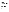systems and thermal storage systems; (3) electrified parking spaces (truck stop electrification); and (4) fuel operated heaters. The innovative financing will cover up to 100% of the costs of these idle reduction technologies. To determine if a particular technology fits under one of these categories please see [http://www.epa.gov/otaq/diesel/idle-ncdc.htm.](http://www.epa.gov/otaq/diesel/idle-ncdc.htm)

In addition to the information described in the Diesel Emissions Reduction Proposal Areas listed below, all proposed projects should describe how they address the following programmatic priorities:

- i. Maximize public health benefits;
- ii. Are the most cost-effective;
- iii. Are in areas with high population density, that are poor air quality areas (including nonattainment or maintenance of national ambient air quality standards for a criteria pollutant; Federal Class I areas; or areas with toxic air pollutant concerns);
- iv. Are in areas that receive a disproportionate quantity of air pollution from diesel fleets, including truck stops, ports, rail yards, terminals, and distribution centers or that use a community-based multistakeholder collaborative process to reduce toxic emissions;
- v. Include a retrofitted vehicle or equipment with a verified technology that has a long expected useful life;
- vi. Maximize the useful life of any retrofitted vehicle or equipment with a verified technology funded by the eligible entity;
- vii. Conserve diesel fuel; and
- viii. Utilize ultra low sulfur diesel fuel (15 parts per million of sulfur content) ahead of EPA's mandate (for nonroad projects).

# **3. Eligible Projects: Summary of What EPA Will Fund**

- If an innovative finance project involves vehicles or equipment retrofitted with a verified emission control technology, then the program will finance: up to 100% of the cost of the vehicle or equipment retrofitted with verified emission control technology.
- If an innovative finance project involves installation of idle reduction technology, the program will finance: up to 100% of the cost of idling reduction technology.

# **C. EPA Strategic Plan Linkage and Anticipated Outcomes/Outputs**

Pursuant to Section 6a of EPA Order 5700.7, *"Environmental Results under EPA Assistance Agreements,"* EPA must link proposed assistance agreements to the Agency's Strategic Plan. EPA also requires that cooperative agreement recipients adequately describe environmental outputs and environmental outcomes to be achieved under assistance agreements [http://www.epa.gov/ogd/grants/award/5700.7.pdf\)](http://www.epa.gov/ogd/grants/award/5700.7.pdf).

# **1. Linkage to EPA Strategic Plan:**

All proposals must support Goal 1 of EPA's 2003-2008 Strategic Plan, Clean Air and Global Climate Change; Objective 1.1: Healthier Outdoor Air, which states, "Through 2010…[EPA will]…protect human health and the environment by attaining and maintaining health-based air-quality standards and reducing the risk from toxic air pollutants" (http://[www.epa.gov/ocfo/plan/2003sp.pdf](http://www.epa.gov/ocfo/plan/2003sp.pdf)). Projects funded under this RFP must reduce emissions from diesel fleets, thereby reducing local and regional air pollution.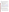#### **2. Outputs:**

The term "output" means an environmental activity, effort and/or associated products related to an environmental goal and objective that will be produced or provided over a period of time or by a specified date. Outputs may be quantitative or qualitative but must be measurable during an assistance agreement funding period. Proposals must include a description of how assistance agreement recipients will track and measure progress towards the environmental goal throughout the assistance agreement period.

- Expected **outputs** from the projects to be funded under this solicitation may include but are not limited to the following:
	- o Number and amount of innovative financing loans awarded
	- o Number of engines/vehicles/equipment retrofitted or replaced
	- o Annual pounds or tons of fine particulate matter (PM2.5), nitrogen oxides (NOx), greenhouse gases (GHG) and/or volatile organic compound (VOCs) reduced; or cost effectiveness of project  $(in $/ton or $/lb)$
	- o Health benefits achieved (health benefits may be measured by numbers of illnesses, health care costs, or missed work/school days avoided).

To estimate some of the anticipated outputs of your proposal, (e.g. pollution reduced), EPA encourages you to use the Diesel Emissions Quantifier found at http://cfpub.epa.gov/quantifier/view/index.cfm. Another tool is the National Mobile Inventory Model [\(http://www.epa.gov/otaq/nmim.htm](http://www.epa.gov/otaq/nmim.htm)). This tool must be used for State Implementation Plan calculations. For technical assistance regarding this tool, please email [mobile@epa.gov.](mailto:mobile@epa.gov)

If you are unable to use these models, please describe your methodology for estimating or determining outputs in detail. Emission reduction estimates and measurements for a verified technology should be based on demonstrated emissions reductions and emission factors listed on EPA or CARB's verified technology list. Pre-retrofit and post-retrofit emissions testing and/or monitoring are not an eligible use of EPA funds under this assistance agreement program.

#### **3. Outcomes:**

The term "outcome" means the result, effect or consequence that will occur from carrying out an environmental program or activity that is related to an environmental or programmatic goal or objective. Outcomes may be environmental, behavioral, health-related or programmatic in nature, but must be quantitative. They may not necessarily be achievable within an assistance agreement funding period. Proposals must include a description of project outcomes resulting from the project outputs.

Expected **outcomes** from projects funded under this solicitation may include but are not limited to the following:

o Developed innovative finance concepts that result in lower interest rates or higher approval rates as a means to retrofit used pre-2007 on-highway vehicles with EPA or CARB verified emission control technologies, or to retrofit existing engines or equipment with verified idle reduction technologies; and where knowledge of these innovative finance concepts can be disseminated through published articles, posted on websites, and included in general outreach to the public.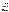- o Reduced harmful emissions from diesel fleets across the country.
- o Enhanced experience among financial institutions offering innovative financing, dealerships or distributors selling eligible retrofitted diesel engines and/or equipment, and manufacturers of EPA and/or CARB verified emission control technologies and/or idle reduction technologies, whereby the transactions among the entities above resulted in a transparent, "business as usual" processes.
- o Increased understanding of the environmental or economic cost effectiveness of selling eligible retrofitted diesel engines and equipment with innovative financing.

### **D. Supplementary Information**

The EPAct2005 provides new diesel emissions reduction grant authority for EPA and authorizes an annual appropriation of up to \$200,000,000 under the Diesel Emissions Reduction portion of the legislation for each of fiscal years 2007 through 2011, to remain available until expended.

### **II. AWARD INFORMATION**

### **A. What is the amount of funding available?**

The total estimated funding expected to be available for awards under this competitive opportunity is approximately \$3 million.

### **B**. **Partial Funding**

In appropriate circumstances, EPA reserves the right to partially fund proposals by funding discrete portions or phases of proposed projects. If EPA decides to partially fund a proposal, it will do so in a manner that does not prejudice any applicants or affect the basis upon which the proposal, or portion thereof, was evaluated and selected for award, and therefore maintains the integrity of the competition and selection process.

### **C. How many agreements will EPA award in this competition?**

EPA anticipates awarding a total of approximately 1-4 cooperative agreement(s) under this announcement ranging in value from approximately \$200,000 to \$3 million subject to the availability of funds and quality of evaluated proposals. In addition, EPA reserves the right to make additional awards under this announcement, consistent with Agency policy, if additional funding becomes available after the original selections. Any additional selections for awards will be made no later than six months from the date of original selection date.

**D. What is the project period for awards resulting from this solicitation?** The estimated project period for awards resulting from this solicitation will begin in 2008. Proposed project periods may be up to 4 years.

### **E. Funding Type**

The funding for selected projects will be in the form of a cooperative agreement. Cooperative agreements permit substantial involvement between the EPA Project Officer and the selected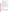applicants in the performance of the work supported. Although EPA will negotiate precise terms and conditions relating to substantial involvement as part of the award process, the anticipated substantial Federal involvement for this project will be:

- close monitoring of the successful applicant's performance to verify the results proposed by the applicant;
- collaboration during performance of the scope of work;
- in accordance with 40 CFR 31.36(g), review of any proposed procurements;
- approving substantive terms of proposed contracts or sub-grants;
- approving qualifications of key personnel (EPA will not select employees or contractors employed by the award recipient);
- reviewing and commenting on reports prepared under the cooperative agreement (the final decision on the content of reports rests with the recipient) prior to publication or submittal of a final technical report.

# **F. Are there any other funding restrictions or requirements?**

EPA cooperative agreement funds may only be used for the purposes set forth in the assistance agreement, and must be consistent with the statutory authority for the award. Cooperative agreement funds may not be used for matching funds for other federal grants, lobbying, or intervention in Federal regulatory or adjudicatory proceedings, and may not be used to sue the Federal government or any other government entity. It should be noted that emissions testing and/or monitoring activities are not an eligible use of EPA funds under this assistance agreement program.

Pursuant to Section 792(d)(2) of the EPAct2005, no funds awarded under this solicitation shall be used to fund the costs of emissions reductions that are mandated under Federal, State or local law. Voluntary or elective emission reduction measures shall not be considered "mandated" regardless of whether the reductions are included in the State Implementation Plan of a State.

Equipment that is used for testing emissions and/or fueling infrastructure costs is not eligible for funding.

EPA reserves the right to reject all proposals and make no awards under this announcement or to make fewer awards than anticipated.

# **III. ELIGIBILITY INFORMATION**

# **A. Eligible Entities:**

Under this solicitation, only the following entities are eligible to apply for assistance in accordance with Section 791(3) of the EPAct2005: A) a regional, State, local or tribal agency or port authority with jurisdiction over transportation or air quality; and B) a nonprofit organization or institution that**–** 1) represents or provides pollution reduction or educational services to persons or organizations that own or operate diesel fleets; or 2) has, as its principal purpose, the promotion of transportation or air quality. School districts, federally recognized Indian tribes, municipalities, metropolitan planning organizations (MPOs), cities and counties are all eligible entities under this assistance agreement program to the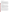extent that they fall within the definition above.

#### **B. Cost-Share or Matching**

There is no requirement for a matching contribution from applicants. However, EPA encourages the use of leveraged funds to enhance and expand the projects and proposals that leverage resources beyond EPA's funding may receive additional points during the evaluation process. Leveraged funding or other resources need not be for eligible and allowable project costs under the EPA assistance agreement unless the Applicant proposes to provide a voluntary cost share or match. If EPA accepts an offer for a voluntary match/cost share/participation, applicants must meet their matching/sharing/participation commitment as a condition of receiving EPA funding. Applicants may use their own funds or other resources for voluntary match/cost share/participation if the standards at 40 CFR 30.23 or 40 CFR 31.24, as applicable, are met. Only eligible and allowable costs may be used for voluntary matches/cost shares/participation. Other Federal grants may not be used as voluntary matches or cost shares without specific statutory authority (e.g. HUD's Community Development Block Grants).

### **C. Threshold Eligibility Criteria**

In addition to the applicant eligibility criteria in Section A above, proposals must also meet the following threshold criteria. Failure to meet any of the following criteria in the proposal submission will result in disqualification of the proposal for funding consideration. Ineligible applicants will be notified within 15 calendar days of the finding that the applicant was not eligible for award consideration based on the threshold criteria.

- 1. Applicants must submit proposals to implement national or multi-EPA Regional innovative financing programs for diesel emissions reduction activities such as those described in the "*Diesel Emissions Reduction Proposal Areas*" in Section I.B(2) of this announcement. In order to support the national or multi-EPA Regional focus of this RFP, the proposal must be to establish an innovative finance program for eligible engine or equipment owners that reside anywhere in the United States or are located in multiple EPA Regions. An innovative program includes those where the loan recipient receives a unique financial incentive (i.e., greater than regular market rates or conditions) for the purchase of retrofitted vehicles or equipment.
- 2. Proposals must support Goal 1 of EPA's Strategic Plan by reducing diesel emissions.

3. (a) Proposals must substantially comply with the proposal submission instructions and requirements set forth in Section IV of this announcement or else they will be rejected. However, where a page limit is expressed in Section IV with respect to the narrative proposal, pages in excess of the page limitation will not be reviewed.

(b) In addition, proposals must be received by EPA or received through [www.grants.gov](http://www.grants.gov/) as specified in Section IV of this announcement on or before the proposal submission deadline published in Section IV of this announcement. Applicants are responsible for ensuring that their proposal reaches the designated person/office specified in Section IV of the announcement by the submission deadline.

(c) Proposals received after the submission deadline will be considered late and returned to the sender without further consideration unless the applicant can clearly demonstrate that it was late due to EPA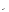mishandling. For hard copy submissions, where Section IV requires proposal receipt by a specific person by the submission deadline, receipt by an agency mailroom is not sufficient. Applicants should confirm receipt of their proposal with the EPA Contact identified in Section VII as soon as possible after the submission deadline—failure to do so may result in your proposal not being reviewed.

4. Proposals in which the applicant is requesting assistance funds in excess of \$3.4 million will not be reviewed.

### **IV. PROPOSAL AND SUBMISSION INFORMATION**

### **A. How to Obtain Application Package**

EPA encourages applicants to obtain proposal materials and apply electronically through [http://www.grants.gov](http://www.grants.gov/).

Applicants may also download individual grant application forms from EPA's Office of Grants and Debarment website at: [http://www.epa.gov/ogd/grants/how\\_to\\_apply.htm](http://www.epa.gov/ogd/grants/how_to_apply.htm).

To obtain a hard copy of materials, please send an email or written request to the Agency contact listed in Section VII of this announcement.

### **B. Form of Proposal Submission**

Applicants have the option to submit their proposals in *one of two ways*: 1) hard copy by express delivery service, hand delivery or U.S. Postal Service, or 2) electronically through the www.grants.gov website. All proposals must be prepared, and include the information, as described in Section IV.C below regardless of mode of transmission.

### **1. Hard Copy Submission**

Because of the unique situation involving U.S. mail screening, **EPA highly recommends that applicants use an express mail option to submit their proposal packages** (SF 424, SF 424A, Narrative Proposal and Applicant Fleet Description Spreadsheet). Please provide one original of the proposal package (including signed and completed SF 424 and SF 424A forms) and four copies--**no binders or spiral binding**--to:

### **Express and Hand Delivery Address (FedEx, UPS, DHL, etc.)**

 U.S. Environmental Protection Agency ATTN: Ken Adler 1310 L Street, NW (Room 308) Washington, DC 20005 (202) 343-9402

### **U.S. Mail Address**

U.S. Environmental Protection Agency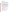ATTN: Ken Adler 1200 Pennsylvania Ave, NW (MC6406J) Washington, DC 20460

#### **2. Electronic Submission (www.Grants.gov)**

The electronic submission of your proposal must be made by an official representative of your institution who is registered with www.grants.gov and is authorized to sign applications for Federal assistance. For more information, go to [http://www.grants.gov](http://www.grants.gov/) and click on "Get Registered" on the left side of the page. **\*Registration process may take a week or longer to complete***.* If your organization is not currently registered with www.grants.gov, please encourage your office to designate an authorized representative (AOR) and ask that individual to begin the registration process as soon as possible.

To begin the proposal process under this grant announcement, go to [http://www.grants.gov](http://www.grants.gov/) and click on the "Apply for Grants" tab on the left side of the page. Then click on "Apply Step 1: Download a Grant Application Package" to download the compatible Adobe viewer and obtain the application package. **To apply through www.grants.gov you must use Adobe Reader applications and download the compatible Adobe Reader version [\(Adobe Reader](http://grants.gov/help/download_software.jsp_)  [applications are](http://grants.gov/help/download_software.jsp_) available to download for free on the www.Grants.gov website. For more information on Adobe Reader please visit the [Help section](http://grants.gov/help/help.jsp_) on www.Grants.gov at**  <http://www.grants.gov/help/help.jsp> or [http://www.grants.gov/aboutgrants/program\\_status.jsp](http://www.grants.gov/aboutgrants/program_status.jsp)).

Once you have downloaded the viewer, you may retrieve the application package by entering the Funding Opportunity Number (OAR-OTAQ-08-04) or the CFDA number that applies to the announcement (CFDA 66.039), in the appropriate field. You may also be able to access the proposal package by clicking on the Application button at the top right of the synopsis page for this announcement on http://www.grants.gov to find the synopsis page, go to http://www.grants.gov and click on the "Find Grant Opportunities" button on the left side of the page and then go to Search Opportunities and use the Browse by Agency feature to find EPA opportunities).

 If you have any questions regarding use of www.grants.gov, please email the www.grants.gov Contact Center at **<http://www.grants.gov/help/help.jsp>** or call 1-800-518-4726.

#### **www.grants.gov Proposal Submission Deadline**

Your organization's AOR must submit your complete proposal package as described below, electronically to EPA through www.grants.gov [\(http://www.grants.gov](http://www.grants.gov/)) no later than **11:59 p.m. EST on June 9, 2008.**

#### **The following forms and documents are required to be submitted under this announcement:**

- I. Application for Federal Assistance (SF-424)
- II. Budget Information for Non-Construction Programs (SF-424A)
- III. Narrative Proposal (as described in Section IV.C. of the announcement)
- IV. Applicant Fleet Description Spreadsheet (as described below)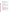The proposal package *must* include all of the following materials:

#### **I. Standard Form (SF) 424 – Application for Federal Assistance**

Complete the form. There are no attachments. Please be sure to include an organization fax number and email address in Block 5 of the Standard Form SF 424 and also ensure that it is signed and dated.

Please note that the organizational Dun and Bradstreet (D&B) Data Universal Number System (DUNS) number must be included on the SF-424. Organizations may obtain a DUNS number at no cost by calling the toll-free DUNS number request line at 1-866- 705-5711.

#### **II. Standard Form SF 424A – Budget Information**

Complete the form. There are no attachments.

The total amount of federal funding requested for the project period should be shown on line 5(e) and on line 6(k) in column 1 of SF-424A, the amount of indirect costs should be entered on line 6(j). The indirect cost rate (i.e., a percentage), the indirect cost rate base (e.g., personnel costs and fringe benefits), and the indirect cost amount itself should also be indicated on line 22.

**\*If selected for award, applicant(s) will be required to submit documentation of their current indirect cost rate that has been negotiated with a cognizant Federal agency.** 

#### **III. Narrative Proposal**

*The document should be readable in PDF or MS Word and consolidated into a single file and be prepared in accordance with Section IV of the announcement.* 

#### **IV. Applicant Fleet Description Spreadsheet**

The Applicant Fleet Description Spreadsheet is an Excel file. It is divided into three sections: Company and Project Manager Information, Project Information, and Fleet Information. The purpose of this spreadsheet is to organize and summarize details of the project including specifics about engines, vehicles and/or equipment to the extent you are aware of this information. In some cases you may not know the fleet description. In such cases, state in your proposal this fact and that you will contract with the fleet in the future. For directions on filling out the spreadsheet, read the section titled "READ ME" which is located on the first tab of the excel file. It can be downloaded from http://[www.epa.gov/cleandiesel/grantfund](http://www.epa.gov/cleandiesel/grantfund)].

**\*\*Documents I through III** listed under Proposal Materials above should appear in the "Mandatory Documents" box on the www.grants.gov Grant Application Package page. For Document IV see below.

For documents I and II, click on the appropriate form and then click "Open Form" below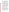the box. The fields that must be completed will be highlighted in yellow. Optional fields and completed fields will be displayed in white. If you enter an invalid response or incomplete information in a field, you will receive an error message. When you have finished filling out each form, click "Save." When you return to the electronic Grant Application Package page, click on the form you just completed, and then click on the box that says, "Move Form to Submission List." This action will move the document over to the box that says, "Mandatory Completed Documents for Submission."

For document number III, the Narrative Proposal, and document number IV, the Applicant Fleet Description Spreadsheet, you will need to attach electronic files. Prepare your narrative proposal as described in Section IV.C of this announcement and save the document to your computer as an MS Word or PDF. Prepare your Applicant Fleet Description Spreadsheet as described above and save the document as a Microsoft Excel or Lotus 123 document. When you are ready to attach the narrative proposal to the application package, click on "Project Narrative Attachment Form," and open the form. Click "Add Mandatory Project Narrative File," and then attach your narrative proposal (previously saved to your computer) using the browse window that appears. You may then click "View Mandatory Project Narrative File" to view it. Enter a brief descriptive title of your project in the space beside "Mandatory Project Narrative File Filename." The file name should be no more than 40 characters long. To attach the Applicant Fleet Description Spreadsheet, click "Add Optional Project Narrative File" and proceed as before. If there are other attachments that you would like to submit to accompany your proposal, you may click "Add Optional Project Narrative File" and proceed as before. When you have finished attaching the necessary documents, click "Close Form." When you return to the "Grant Application Package" page, select the "Project Narrative Attachment Form" and click "Move Form to Submission List." The form should now appear in the box that says, "Mandatory Completed Documents for Submission."

Once your proposal package has been completed and saved, send it to your Authorized Representative (AOR) for submission to U.S. EPA through www.grants.gov. Please advise your AOR to close all other software programs before attempting to submit the application package through www.grants.gov.

In the "Application Filing Name" box, your AOR should enter your organization's name (abbreviate where possible), the fiscal year (e.g., FY08), and the grant category (e.g., finance). The filing name should not exceed 40 characters. From the "Grant Application Package" page, your AOR may submit the application package by clicking the "Submit" button that appears at the top of the page. The AOR will then be asked to verify the agency and funding opportunity number for which the application package is being submitted. If problems are encountered during the submission process, the AOR should reboot his/her computer before trying to submit the application package again. [It may be necessary to turn off the computer (not just restart it) before attempting to submit the package again.] If the AOR continues to experience submission problems, he/she may contact www.grants.gov for assistance by phone at 1-800-518-4726 or email at <http://www.grants.gov/help/help.jsp>.

Proposal packages submitted thru www.grants.gov will be time/date stamped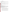### electronically.

### **C. Content of Proposal Submission**

All proposal submissions, regardless of mode of transmission, must contain a completed and signed SF-424, Application for Federal Assistance, a completed SF-424A, Budget Information—Non-Construction Programs, a Narrative Proposal and an Applicant Fleet Description Spreadsheet.

### **Narrative Proposal**

The Narrative Proposal (1-3 below) cannot exceed a maximum of 12 single-spaced typewritten pages, including the Summary Page. Pages in excess of 12 will not be considered. Supporting materials, such as resumes and letters of support, can be submitted as attachments and are not included in the 12-page limit. The Applicant Fleet Description Spreadsheet is also not included in the page limit.

### **1. Summary Page**

a. Project Title

b. Applicant Information. Include applicant (organization) name, address, contact person, phone number, fax and e-mail address.

c. Funding Requested. Specify the amount you are requesting from EPA.

d. Total Project Cost. Specify total cost of the project. Identify funding from other sources, including cost share or in-kind resources.

e. Project period. Provide beginning and ending dates.

# **2. Narrative Work Plan**

### **\*\*The Narrative must explicitly describe how the proposed project meets the guidelines established in Sections I-III (including the threshold eligibility criteria in Section III.C) of this announcement, and address each of the evaluation criteria set forth in Section V.**

The Work Plan must include the following:

# **a. Project Summary/Approach: This section should contain the following components:**

- 1. Provide an opinion from your legal counsel that demonstrates your legal authority (or the legal authority of your partner) to perform the actions necessary to manage an innovative financing program. At a minimum, legal authority must include the ability to hold funds, make loans, enter into loan agreements, and collect repayments. This authority may be based on statute, regulation, or other authority. Attach your counsel's legal opinion (does not count against page limit);
- 2. Describe your business concept and the main innovative finance product(s) you will offer borrowers. Include loan structure; interest and repayment rates; a multi-year timeline for managing the finance program; complimentary products/services you or a partner will offer (if applicable); program incentives, and how the balance of projected loans will promote the longterm availability (including the ability to revolve, if applicable) of the finance project;
- 3. Present your market analysis, including your target market. Detail the types of borrowers (e.g.,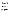small businesses, owner-operators, or drayage operators), and the territory (e.g. national, ports) you will target;

- 4. Describe your process for selecting borrowers. Include how you will develop criteria for applicant selection, and how you will ensure that borrower eligibility determinations are made in accordance with the provisions of EPAct2005;
- 5. Present both the management and operational teams that will oversee and implement all phases of work under this cooperative agreement, including fund management and vehicle or equipment selection. Include information on the qualifications of staff and institutions the applicant may use for fleet selection, environmental, financial, analytical, legal, and record keeping activities to ensure the use of prudent lending practices. Successful management of an innovative finance program requires a dedicated project manager and staff; in many cases, at least 50 percent of a single staff person's time;
- 6. A description of the air quality of the area served by the eligible entity (if providing innovative financing nationally, state this fact because the vehicles or equipment may not be known until loans are issued and the vehicles or equipment may travel throughout the United States);
- 7. The quantity of air pollution produced by the diesel fleets in the area served by the eligible entity (if providing innovative financing nationally, state this fact because the vehicles or equipment may not be known until loans are issued and the vehicles or equipment may travel throughout the United States);
- 8. A fleet project description (if providing innovative financing nationally, state this fact and provide a best estimate of (a), (b), and (c) below):

a. Any retrofitted vehicle or equipment with verified retrofit technologies to be used or funded by the eligible entity (e.g., diesel flow through filters);

b. A description of the age and expected lifetime control of the equipment used or funded by the eligible entity; and

c. The means by which the project will achieve a significant reduction in diesel emissions;

- 9. An evaluation of the quantifiable and unquantifiable benefits of the emissions reductions of the proposed project (applicants can use the Diesel Emissions Quantifier tool found at the National Clean Diesel Campaign website at: http://cfpub.epa.gov/quantifier/view/index.cfm);
- 10. An estimate of proposed project costs and the cost-effectiveness of emission reductions as funded by the innovative financing program (dollar/ton reduction);
- 11. Provisions for the monitoring and verification of the project, particularly reporting on items 6, 7, and 8 above when loans have been made;
- 12. Information on project partners and their various roles, and leveraged resources; and
- 13. Information on the sustainability of the project beyond the assistance agreement period.

### **b. Programmatic Priorities**

Please address how the project meets the programmatic priorities listed below.

- i. Maximize public health benefits;
- ii. Are the most cost-effective;

iii. Are in areas with high population density, that are poor air quality areas (including nonattainment or maintenance of national ambient air quality standards for a criteria pollutant; Federal Class I areas; or areas with toxic air pollutant concerns);

iv. Are in areas that receive a disproportionate quantity of air pollution from diesel fleets, including truck stops, ports, rail yards, terminals, and distribution centers or that use a community-based multistakeholder collaborative process to reduce toxic emissions;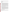v. Include a retrofitted vehicle or equipment with a verified technology that has a long expected useful life;

vi. Maximize the useful life of any retrofitted vehicle or equipment with a verified technology used or funded by the eligible entity;

vii. Conserve diesel fuel; and

viii. Utilize ultra low sulfur diesel fuel (15 parts per million of sulfur content) ahead of EPA's mandate (for nonroad projects).

#### **c. Past Performance**

- i. **Programmatic Capability:** Submit a list of federally funded assistance agreements (an assistance agreement is a grant or cooperative agreement and not a contract) similar in size, scope and relevance to the proposed project that your organization performed within the last three years (no more than 5 agreements, and preferably EPA agreements) and describe (i) whether, and how, you were able to successfully complete and manage those agreements and (ii) your history of meeting the reporting requirements under those agreements including submitting acceptable final technical reports. In evaluating applicants under these factors in Section V, EPA will consider the information provided by the applicant and may also consider relevant information from other sources, including information from EPA files and from current and prior Federal agency grantors (e.g., to verify and/or supplement the information provided by the applicant). If you do not have any relevant or available past performance or reporting information, please indicate this in the proposal and you will receive a neutral score for this factor under Section V-failure to indicate this may result in 0 points for the factors. In addition, provide information on your organizational experience and plan for timely and successfully achieving the objectives of the proposed project, and your staff expertise/qualification, staff knowledge, and resources or the ability to obtain them, to successfully achieve the goals of the proposed project.
- ii. **Reporting on Environmental Results--Outcomes and Outputs:** Submit a list of federally funded assistance agreements (an assistance agreement is a grant or cooperative agreement and not a contract) that your organization performed within the last three years (no more than 5 agreements, and preferably EPA agreements), and describe how you documented and/or reported on whether you were making progress towards achieving the expected results (e.g., outputs and outcomes) under those agreements. If you were not making progress, please indicate whether, and how, you documented why not. In evaluating applicants under this factor in Section V, EPA will consider the information provided by the applicant and may also consider relevant information from other sources, including information from EPA files and from current and prior Federal agency grantors (e.g., to verify and/or supplement the information provided by the applicant). If you do not have any relevant or available environmental results past performance information, please indicate this in the proposal and you will receive a neutral score for this factor under Section V-failure to indicate this may result in 0 points for the factor.

#### **d. Environmental Results—Outcomes and Outputs**

Identify the expected quantitative and qualitative outcomes of the project (See Section I), including what measurements will be used to track your progress towards achieving the outcomes and how the results of the project will be evaluated. Identify the expected project outputs and how progress towards achieving the outputs will be tracked and measured.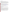### **3. Detailed Budget Narrative**

In addition to the SF 424A, please provide specified total costs of the project.

Management Fees: When formulating budgets for proposals/applications, applicants must not include management fees or similar charges in excess of the direct costs and indirect costs at the rate approved by the applicant's cognizant Federal audit agency, or at the rate provided for by the terms of the agreement negotiated with EPA. The term "management fees or similar charges" refers to expenses added to the direct costs in order to accumulate and reserve funds for ongoing business expenses, unforeseen liabilities, or for other similar costs that are not allowable under EPA assistance agreements. Management fees or similar charges may not be used to improve or expand the project funded under this agreement, except to the extent authorized as a direct cost of carrying out the work plan.

### **4. Applicant Fleet Description Spreadsheet. This is not included in the 12-page limit.**

The Applicant Fleet Description Spreadsheet is an Excel file. It is divided into three sections: Company and Project Manager Information, Project Information, and Fleet Information. The purpose of this spreadsheet is to organize and summarize details of the project including specifics about engines, vehicles and/or equipment. For directions on filling out the spreadsheet, read the section titled "READ ME" which is located on the first tab of the excel file. It can be downloaded from http:/[/www.epa.gov/cleandiesel/grantfund.htm](http://www.epa.gov/cleandiesel/grantfund.htm)].

### **5. Optional Attachments. These are not included in the 12-page limit.**

a. Resumes. Provide resumes or curriculum vitae for all principal investigators and any other key personnel. b. Support Letters. Specifically indicate how supporting organizations will assist in the project.

### **D. Contracts and Subawards/Subgrants**

### **1. Can funding be used for the applicant to make subawards/subgrants, acquire contract services, or fund partnerships?**

EPA awards funds to one eligible applicant as the recipient even if other eligible entities are named as partners or co-applicants or members of a "coalition" or "consortium." The recipient is accountable to EPA for the proper expenditure of funds.

If successful applicants intend to use EPA cooperative agreement funds to purchase goods or services under the cooperative agreement, such applicants must compete the contracts for those goods and services and conduct cost and price analyses to the extent required by the procurement provisions of 40 CFR Part 30 or 31. The regulations also contain limitations on consultant compensation. While applicants are not required to identify contractors or consultants in their proposal if they do so it does not relieve the applicant of its obligations to comply with competitive procurement requirements, nor does it guarantee that costs incurred for such contractor/consultant will be eligible under the grant/cooperative agreement. Please note that applicants may not award sole source contracts to consulting, engineering or other firms assisting applicants with the proposal based solely on the firm's role in preparing the proposal.

Successful applicants may award subgrants (also referred to as subawards) of financial assistance to fund partnerships under the EPA cooperative agreement provided the recipient complies with applicable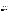requirements for subgrants/subawards including those contained in 40 CFR Parts 30 or 31, as appropriate. Subgrants/subawards do not have to be competed; however, successful applicants cannot use subgrants/subawards to avoid requirements in EPA grant regulations for competitive procurement by using subgrants/subawards to acquire commercial services or products from for-profit organizations. EPA will not be a party to these subgrant/subaward agreements.

### **2. How will an applicant's proposed subawardees/subgrantees and contractors be considered during the evaluation process described in Section V of the announcement?**

Section V of the announcement describes the evaluation criteria and evaluation process that will be used by EPA to make selections under this announcement. During this evaluation, except for those criteria that relate to the applicant's own qualifications, past performance, and reporting history, the review panel will consider, as appropriate and relevant, the qualifications, expertise, and experience of:

- (i) an applicant's named subawardees/subgrantees identified in the proposal if the applicant demonstrates in the proposal that if it receives an award that the subaward/subgrant will be properly awarded consistent with the applicable regulations in 40 CFR Parts 30 or 31. For example, applicants must not use subawards/subgrants to obtain commercial services or products from for profit firms or individual consultants;
- (ii) an applicant's named contractor(s), including consultants, identified in the proposal if the applicant demonstrates in its proposal that the contractor(s) was selected in compliance with the competitive Procurement Standards in 40 CFR Part 30 or 40 CFR 31.36 as appropriate. For example, an applicant must demonstrate that it selected the contractor(s) competitively or that a proper noncompetitive sole-source award consistent with the regulations will be made to the contractor(s), that efforts were made to provide small and disadvantaged businesses with opportunities to compete, and that some form of cost or price analysis was conducted. EPA may not accept sole source justifications for contracts for services or products that are otherwise readily available in the commercial marketplace.

EPA will not consider the qualifications, experience, and expertise of named subawardees/subgrantees and/or named contractor(s) during the proposal evaluation process unless the applicant complies with these requirements.

# **E. Submission Dates and Time**

The deadline for receipt of hard copy proposal packages is **June 9, 2008, 4 p.m., EST**.All hard copies of proposal packages must be received by the EPA Contact identified above in IV.B.1 by **4 p.m., EST on June 9, 2008**, in order to be considered for funding. Electronic submissions must be submitted via www.grants.gov by **June 9, 2008, 11:59 p.m., EST.** Proposals received after the closing date and time will not be considered for funding.

A final (full) application will be requested only from the eligible entity(ies) whose proposal has been preliminarily recommended for award. Additional instructions for final application packages, including requirements for providing any additional information required by law, will be provided when the applicant is notified of the tentative selection.

# **F. Confidential Business Information**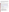It is recommended that confidential business information ("CBI") **not** be included in your proposal/application. However, if CBI is included in your proposal/application, it will be handled in accordance with 40 CFR Part 2.203. Applicants must clearly indicate which portion(s) of their proposal/application they are claiming as CBI. EPA will evaluate such claims in accordance with 40 CFR Part 2. If no claim of confidentiality is made, EPA is not required to make the inquiry to the applicant which is otherwise required by 40 CFR Part 2.204(2) prior to disclosure. Note that under 40 CFR 30.36, data produced under an award is subject to the Freedom of Information Act.

### **G. Pre-Proposal Assistance and Communications**

In accordance with EPA's Assistance Agreement Competition Policy (EPA Order 5700.5A1), EPA staff will not meet with individual applicants to discuss draft proposals, provide informal comments on draft proposals, or provide advice to applicants on how to respond to ranking criteria. Applicants are responsible for the content of their proposals.

EPA will respond to questions in writing from individual applicants regarding threshold eligibility criteria, administrative issues related to the submission of the proposal, and requests for clarification about the announcement. Please submit written questions to Ken Adler at [Adler.Ken@epa.gov](mailto:Adler.Ken@epa.gov) or Paul Bubbosh at [Bubbosh.Paul@epa.gov.](mailto:Bubbosh.Paul@epa.gov) Please type "Diesel Loan RFP Question" in the subject line of your email. All questions and answers will be posted to the website <http://www.epa.gov/cleandiesel>no later than 7 business days after we receive them.

In addition, EPA will host a Question and Answer session via teleconference on **May 12, 2008** from **1-3 p.m.**, **EST**. Contact Gwen Couts at [Couts.Gwen@epa.gov](mailto:Couts.Gwen@epa.gov) or (202) 343-9347 for conference call information. EPA will attempt to answer any appropriate questions in this public forum. Frequently asked questions and answers from the teleconference will be posted on the website <http://www.epa.gov/cleandiesel> and additional questions and answers will be posted periodically.

# **V. PROPOSAL REVIEW INFORMATION**

Only those proposals that meet the threshold criteria in Section III will be evaluated according to the criteria set forth below. Applicants should directly and explicitly address these criteria as part of their proposal submittal. Each proposal will be rated under a points system, with a total of 100 points possible.

# **A. Evaluation Criteria**

| Criteria                                                                                     | <b>Points</b> |
|----------------------------------------------------------------------------------------------|---------------|
| 1. Project Summary/Approach: Under this criterion, the Agency will                           |               |
| evaluate the following factors: (i) $(20 \text{ pts})$ the extent and quality to which the   |               |
| proposal narrative includes a well-conceived strategy for addressing the                     |               |
| requirements in Section I and the Project Summary/Approach requirements in                   | 25            |
| Section IV.C; (ii) $(5 \text{ pts})$ the extent and quality to which the proposal includes a |               |
| well-conceived, logical strategy for achieving $-$ by the project end date $-$ the           |               |
| anticipated environmental results associated with the proposed project.                      |               |
| <b>2. Programmatic Priorities:</b> Under this criterion, the Agency will evaluate the        |               |
| extent and quality to which the proposed project addresses the programmatic                  |               |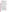| priorities stated in Section I and Section IV.C (Narrative Proposal).               |    |
|-------------------------------------------------------------------------------------|----|
| 3. Environmental Results – Outcomes and Outputs: Under this criterion, the          |    |
| Agency will evaluate the effectiveness of the applicant's plan for tracking and     | 5  |
| measuring its progress toward achieving expected project outputs and outcomes,      |    |
| including those identified in Section I of this announcement.                       |    |
| 4. Budget/Resources: (i) (5 pts) Whether the proposed project budget is             |    |
| appropriate to accomplish the proposed goals, objectives, and measurable            |    |
| environmental outcomes, (ii) (5 pts) whether the budget provides an                 | 10 |
| approximation of the percentage of the budget designated for each major             |    |
| activity.                                                                           |    |
| 5. Leveraging Resources and Partnering: Under this criterion, applicants will       |    |
| be evaluated based on the extent they demonstrate (i) how they will coordinate      |    |
|                                                                                     |    |
| the use of EPA funding with other Federal and/or non Federal sources of funds       |    |
| to leverage additional resources to carry out the proposed project(s) and/or (ii)   |    |
| that EPA funding will complement activities relevant to the proposed project(s)     | 25 |
| carried out by the applicant with other sources of funds or resources. Leveraged    |    |
| funding or other resources need not be for eligible and allowable project costs     |    |
| under the EPA assistance agreement unless the Applicant proposes to provide a       |    |
| voluntary cost share or match. If EPA accepts an offer for a voluntary cost         |    |
| share/match/participation, applicants must meet their                               |    |
| matching/sharing/participation commitment as a condition of receiving EPA           |    |
| funding. Applicants may use their own funds or other resources for voluntary        |    |
| match/cost share/participation if the standards at 40 CFR 30.23 or 40 CFR 31.24,    |    |
| as applicable, are met. Only eligible and allowable costs may be used for           |    |
| voluntary matches/cost shares/participation. Other Federal grants may not be        |    |
| used as voluntary matches or cost shares without specific statutory authority       |    |
| (e.g. HUD's Community Development Block Grants).                                    |    |
| 6. Staff Expertise/Qualifications: Under this criterion, applicants will be         |    |
| evaluated on their staff expertise/qualifications, staff knowledge, and resources   | 15 |
| or the ability to obtain them, to successfully achieve the goals of the proposed    |    |
| project.                                                                            |    |
| 7. Past Performance--Programmatic Capability and Reporting on                       |    |
| <b>Environmental Results:</b> Under this criterion, the Agency will evaluate the    |    |
| applicant's technical ability to successfully complete and manage the proposed      |    |
| project taking into account the following factors: (i) (4 pts) the applicant's past |    |
| performance in successfully completing and managing federally funded                |    |
| assistance agreements (assistance agreements include Federal grants and             |    |
| cooperative agreements but not Federal contracts) similar in size, scope and        |    |
| relevance to the proposed project performed within the last 3 years, (ii) (4 pts)   |    |
| the applicant's history of meeting reporting requirements on federally funded       |    |
| assistance agreements (assistance agreements include Federal grants and             |    |
| cooperative agreements but not Federal contracts) similar in size, scope, and       |    |
| relevance to the proposed project performed within the last 3 years and             |    |
| submitting acceptable final technical reports under those agreements, and (iii) (2) |    |
| pts) the applicant's past performance in documenting and/or reporting on            | 10 |
| progress towards achieving the expected outcomes and outputs (e.g., results)        |    |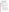under federally funded assistance agreements **(assistance agreements include Federal grants and cooperative agreements but not Federal contracts)** within the last 3 years; and, if such progress was not made whether the documentation and/or reports satisfactorily explained why not. In evaluating applicants under these factors in Section V, EPA will consider the information provided by the applicant and may also consider relevant information from other sources, including information from EPA files and from current and prior Federal agency grantors (e.g., to verify and/or supplement the information provided by the applicant). If you do not have any relevant or available past performance or reporting information, please indicate this in the proposal and you will receive a neutral score for those factors-failure to do so may result in 0 points for these factors.

#### **B. Review and Selection Process**

Each eligible proposal will be evaluated by a review team using the evaluation criteria described above. Each proposal will be given a numerical score and will be rank-ordered according to the numerical score. Preliminary funding recommendations will be provided to the Approval Official based on this ranking.

### **C**. **Selection Recommendations**

Final funding decisions will be made by the Approval Official based on the rankings and preliminary recommendation of the EPA evaluation team. In making the final funding decisions, the Approval Official may also consider programmatic priorities, geographic diversity, and the statutory funding allocation [EPAct 2005, Section 792 (b)]. Once final decisions have been made a funding recommendation will be developed and forwarded to the EPA Award Official.

# **VI. AWARD ADMINISTRATION INFORMATION**

### **A. Award Notices**

 Following evaluation of proposals, all applicants will be notified regarding their status. **Proposal Notifications.** 

1. EPA anticipates notification to the *successful* applicant will be made via telephone, electronic or postal mail by **July 14, 2008**. The notification will advise the applicant that its Proposal has been successfully evaluated and recommended for award. The notification will be sent to the original signer of the application. The notice shall require submission of a Final Application. *(Refer to Section IV.B, Form of Proposal Submission and Section IV.C Content of Proposal Submission)* 

This notification, which advises that the applicant's proposal has been recommended for award, is not an authorization to begin performance. The award offer signed by the EPA Award Official is the authorizing document and will be provided through postal mail. At a minimum, this process can take up to 90 days from the date of award recommendation.

2. EPA anticipates notification to *unsuccessful* applicant(s) will be made via electronic or postal mail by **July 14, 2008**. The notification will be sent to the original signer of the application.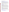#### **B. Administrative and National Policy Requirement**

A listing and description of general EPA Regulations applicable to the award of assistance agreements may be viewed at: http://www.epa.gov/ogd/AppKit/applicable epa\_regulations\_and\_description.htm.

Executive Order 12372, Intergovernmental Review of Federal Programs may be applicable to awards resulting from this announcement. Applicants selected for funding may be required to provide a copy of their proposal to their [State Point of Contact](http://www.whitehouse.gov/omb/grants/spoc.html) (SPOC) for review, pursuant to Executive Order 12372, Intergovernmental Review of Federal Programs. This review is not required with the initial proposal and not all States require such a review. *Federally-recognized Tribal governments are not required to comply with this procedure.*

### **C. DUNS Number**

All applicants **are required** to provide a Dun and Bradstreet (D&B) Data Universal Numbering System (DUNS) number when applying for a Federal grant or cooperative agreement. Applicants can receive a DUNS number, at no cost, by calling the dedicated toll-free DUNS Number request line at 1-866-705-5711, or visiting the D&B website at: [http://Fedgov.dnb.com/webform.](http://fedgov.dnb.com/webform)

### **D. Reporting Requirement**

Quarterly progress reports and a detailed final report will be required. Quarterly reports summarizing technical progress, planned activities for next quarter and summary of expenditures are required. The final report shall be submitted to EPA within 90 calendar days of the completion of the period of performance. The final report should include: summary of the project or activity, advances achieved and costs of the project or activity. In addition, the final report shall discuss the problems, successes, and lessons learned from the project or activity that could help overcome structural, organizational or technical obstacles to implementing a similar project elsewhere. The schedule for submission of quarterly reports will be established by EPA, after the award.

#### **E. Exchange Network**

EPA, states, territories, and tribes are working together to develop the National Environmental Information Exchange Network, a secure, Internet- and standards-based way to support electronic data reporting, sharing, and integration of both regulatory and non-regulatory environmental data. States, tribes and territories exchanging data with each other or with EPA, should make the Exchange Network and the Agency's connection to it, the Central Data Exchange (CDX), the standard way they exchange data and should phase out any legacy methods they have been using. More information on the Exchange Network is available at www.exchangenetwork.net.

### **F. Disputes**

Assistance agreement competition-related disputes will be resolved in accordance with the dispute resolution procedures published in 70 FR (Federal Register) 3629, 3630 (January 26, 2005) located on the web at: [http://frwebgate.access.gpo.gov/cgi](http://frwebgate.access.gpo.gov/cgi-bin/getpage.cgi?position=all&page=3629&dbname=2005_register)[bin/getpage.cgi?position=all&page=3629&dbname=2005\\_register](http://frwebgate.access.gpo.gov/cgi-bin/getpage.cgi?position=all&page=3629&dbname=2005_register)